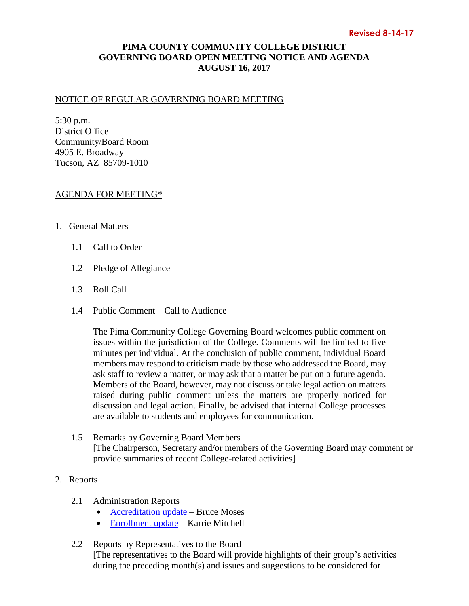## **PIMA COUNTY COMMUNITY COLLEGE DISTRICT GOVERNING BOARD OPEN MEETING NOTICE AND AGENDA AUGUST 16, 2017**

## NOTICE OF REGULAR GOVERNING BOARD MEETING

5:30 p.m. District Office Community/Board Room 4905 E. Broadway Tucson, AZ 85709-1010

## AGENDA FOR MEETING\*

- 1. General Matters
	- 1.1 Call to Order
	- 1.2 Pledge of Allegiance
	- 1.3 Roll Call
	- 1.4 Public Comment Call to Audience

The Pima Community College Governing Board welcomes public comment on issues within the jurisdiction of the College. Comments will be limited to five minutes per individual. At the conclusion of public comment, individual Board members may respond to criticism made by those who addressed the Board, may ask staff to review a matter, or may ask that a matter be put on a future agenda. Members of the Board, however, may not discuss or take legal action on matters raised during public comment unless the matters are properly noticed for discussion and legal action. Finally, be advised that internal College processes are available to students and employees for communication.

- 1.5 Remarks by Governing Board Members [The Chairperson, Secretary and/or members of the Governing Board may comment or provide summaries of recent College-related activities]
- 2. Reports
	- 2.1 Administration Reports
		- [Accreditation update](https://www.pima.edu/meeting-notices-support/2017-docs/201708-16-accreditation-update.pdf) Bruce Moses
		- [Enrollment update](https://www.pima.edu/meeting-notices-support/2017-docs/201708-16-enrollment-management.pdf) Karrie Mitchell
	- 2.2 Reports by Representatives to the Board [The representatives to the Board will provide highlights of their group's activities during the preceding month(s) and issues and suggestions to be considered for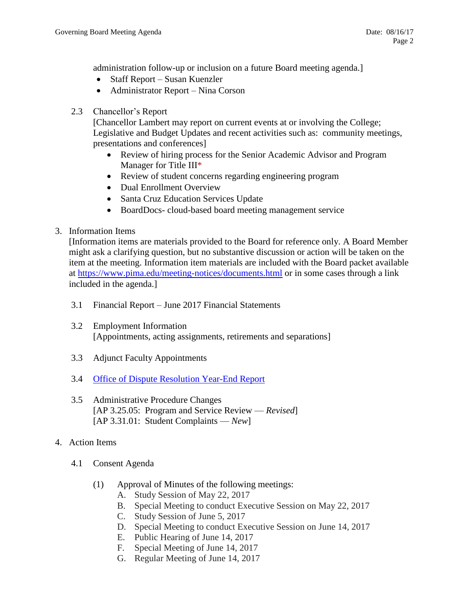administration follow-up or inclusion on a future Board meeting agenda.]

- Staff Report Susan Kuenzler
- Administrator Report Nina Corson
- 2.3 Chancellor's Report

[Chancellor Lambert may report on current events at or involving the College; Legislative and Budget Updates and recent activities such as: community meetings, presentations and conferences]

- Review of hiring process for the Senior Academic Advisor and Program Manager for Title III\*
- Review of student concerns regarding engineering program
- Dual Enrollment Overview
- Santa Cruz Education Services Update
- BoardDocs- cloud-based board meeting management service
- 3. Information Items

[Information items are materials provided to the Board for reference only. A Board Member might ask a clarifying question, but no substantive discussion or action will be taken on the item at the meeting. Information item materials are included with the Board packet available at <https://www.pima.edu/meeting-notices/documents.html> or in some cases through a link included in the agenda.]

- 3.1 Financial Report June 2017 Financial Statements
- 3.2 Employment Information [Appointments, acting assignments, retirements and separations]
- 3.3 Adjunct Faculty Appointments
- 3.4 [Office of Dispute Resolution Year-End Report](http://www.pima.edu/meeting-notices-support/2017-docs/201708-16-odr-quarterly-report-4q-FY2017.pdf)
- 3.5 Administrative Procedure Changes [AP 3.25.05: Program and Service Review — *Revised*] [AP 3.31.01: Student Complaints — *New*]
- 4. Action Items
	- 4.1 Consent Agenda
		- (1) Approval of Minutes of the following meetings:
			- A. Study Session of May 22, 2017
			- B. Special Meeting to conduct Executive Session on May 22, 2017
			- C. Study Session of June 5, 2017
			- D. Special Meeting to conduct Executive Session on June 14, 2017
			- E. Public Hearing of June 14, 2017
			- F. Special Meeting of June 14, 2017
			- G. Regular Meeting of June 14, 2017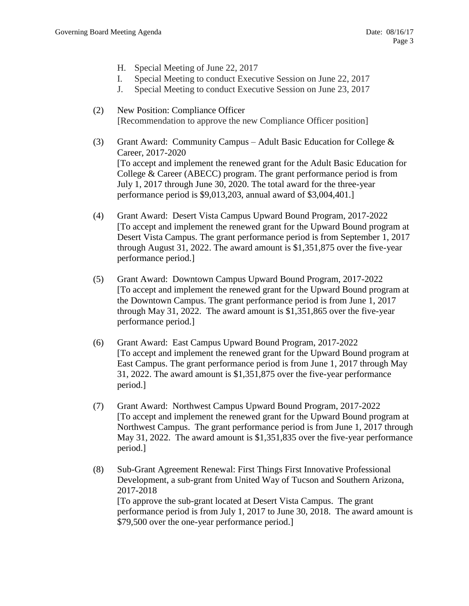- H. Special Meeting of June 22, 2017
- I. Special Meeting to conduct Executive Session on June 22, 2017
- J. Special Meeting to conduct Executive Session on June 23, 2017
- (2) New Position: Compliance Officer [Recommendation to approve the new Compliance Officer position]
- (3) Grant Award: Community Campus Adult Basic Education for College & Career, 2017-2020 [To accept and implement the renewed grant for the Adult Basic Education for College & Career (ABECC) program. The grant performance period is from July 1, 2017 through June 30, 2020. The total award for the three-year performance period is \$9,013,203, annual award of \$3,004,401.]
- (4) Grant Award: Desert Vista Campus Upward Bound Program, 2017-2022 [To accept and implement the renewed grant for the Upward Bound program at Desert Vista Campus. The grant performance period is from September 1, 2017 through August 31, 2022. The award amount is \$1,351,875 over the five-year performance period.]
- (5) Grant Award: Downtown Campus Upward Bound Program, 2017-2022 [To accept and implement the renewed grant for the Upward Bound program at the Downtown Campus. The grant performance period is from June 1, 2017 through May 31, 2022. The award amount is \$1,351,865 over the five-year performance period.]
- (6) Grant Award: East Campus Upward Bound Program, 2017-2022 [To accept and implement the renewed grant for the Upward Bound program at East Campus. The grant performance period is from June 1, 2017 through May 31, 2022. The award amount is \$1,351,875 over the five-year performance period.]
- (7) Grant Award: Northwest Campus Upward Bound Program, 2017-2022 [To accept and implement the renewed grant for the Upward Bound program at Northwest Campus. The grant performance period is from June 1, 2017 through May 31, 2022. The award amount is \$1,351,835 over the five-year performance period.]
- (8) Sub-Grant Agreement Renewal: First Things First Innovative Professional Development, a sub-grant from United Way of Tucson and Southern Arizona, 2017-2018 [To approve the sub-grant located at Desert Vista Campus. The grant performance period is from July 1, 2017 to June 30, 2018. The award amount is \$79,500 over the one-year performance period.]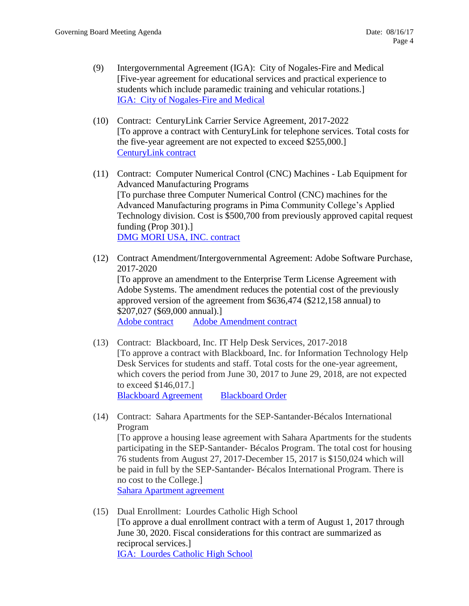- (9) Intergovernmental Agreement (IGA): City of Nogales-Fire and Medical [Five-year agreement for educational services and practical experience to students which include paramedic training and vehicular rotations.] [IGA: City of Nogales-Fire and Medical](https://www.pima.edu/meeting-notices-support/2017-docs/201708-16-city-of-nogales-fire-medical.pdf)
- (10) Contract: CenturyLink Carrier Service Agreement, 2017-2022 [To approve a contract with CenturyLink for telephone services. Total costs for the five-year agreement are not expected to exceed \$255,000.] [CenturyLink contract](https://www.pima.edu/meeting-notices-support/2017-docs/201708-16-centurylink-supporting-agreement.pdf)
- (11) Contract: Computer Numerical Control (CNC) Machines Lab Equipment for Advanced Manufacturing Programs [To purchase three Computer Numerical Control (CNC) machines for the Advanced Manufacturing programs in Pima Community College's Applied Technology division. Cost is \$500,700 from previously approved capital request funding (Prop 301).] [DMG MORI USA, INC. contract](https://www.pima.edu/meeting-notices-support/2017-docs/201708-16-pcc-dmg-mori-usa.pdf)
- (12) Contract Amendment/Intergovernmental Agreement: Adobe Software Purchase, 2017-2020 [To approve an amendment to the Enterprise Term License Agreement with Adobe Systems. The amendment reduces the potential cost of the previously approved version of the agreement from \$636,474 (\$212,158 annual) to \$207,027 (\$69,000 annual).] [Adobe contract](https://www.pima.edu/meeting-notices-support/2017-docs/201708-16-pima-consortium-adobe-etla.pdf) [Adobe Amendment contract](https://www.pima.edu/meeting-notices-support/2017-docs/201708-16-adobe-amendment-pcccd.pdf)
- (13) Contract: Blackboard, Inc. IT Help Desk Services, 2017-2018 [To approve a contract with Blackboard, Inc. for Information Technology Help Desk Services for students and staff. Total costs for the one-year agreement, which covers the period from June 30, 2017 to June 29, 2018, are not expected to exceed \$146,017.] [Blackboard Agreement](http://www.pima.edu/meeting-notices-support/2017-docs/201708-16-blackboard-it-helpdesk-support.pdf) [Blackboard Order](http://www.pima.edu/meeting-notices-support/2017-docs/201708-16-blackboard-it-helpdesk-agreement.pdf)
- (14) Contract: Sahara Apartments for the SEP-Santander-Bécalos International Program [To approve a housing lease agreement with Sahara Apartments for the students participating in the SEP-Santander- Bécalos Program. The total cost for housing 76 students from August 27, 2017-December 15, 2017 is \$150,024 which will be paid in full by the SEP-Santander- Bécalos International Program. There is no cost to the College.] [Sahara Apartment agreement](http://www.pima.edu/meeting-notices-support/2017-docs/201708-16-sahara-hotel-accommodation-agreement.pdf)
- (15) Dual Enrollment: Lourdes Catholic High School [To approve a dual enrollment contract with a term of August 1, 2017 through June 30, 2020. Fiscal considerations for this contract are summarized as reciprocal services.] [IGA: Lourdes Catholic High School](http://www.pima.edu/meeting-notices-support/2017-docs/201708-16-lourdes-catholic-highschool-iga.pdf)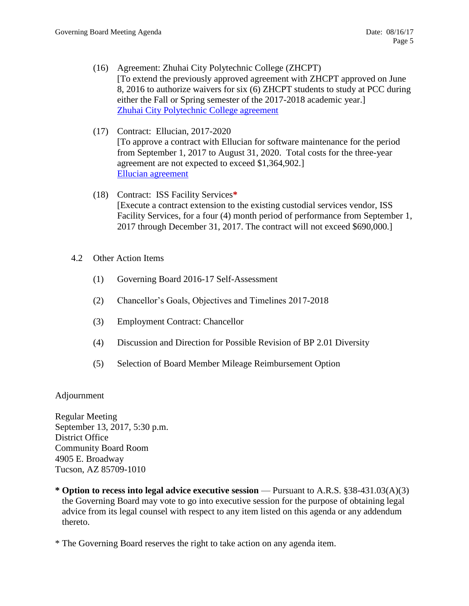- (16) Agreement: Zhuhai City Polytechnic College (ZHCPT) [To extend the previously approved agreement with ZHCPT approved on June 8, 2016 to authorize waivers for six (6) ZHCPT students to study at PCC during either the Fall or Spring semester of the 2017-2018 academic year.] [Zhuhai City Polytechnic College agreement](https://www.pima.edu/meeting-notices-support/2017-docs/201708-16-zhuhai-polytechnic-college-mou.pdf)
- (17) Contract: Ellucian, 2017-2020 [To approve a contract with Ellucian for software maintenance for the period from September 1, 2017 to August 31, 2020. Total costs for the three-year agreement are not expected to exceed \$1,364,902.] [Ellucian agreement](https://www.pima.edu/meeting-notices-support/2017-docs/201708-16-ellucian-maintenance-renewal.pdf)
- (18) Contract: ISS Facility Services**\*** [Execute a contract extension to the existing custodial services vendor, ISS Facility Services, for a four (4) month period of performance from September 1, 2017 through December 31, 2017. The contract will not exceed \$690,000.]
- 4.2 Other Action Items
	- (1) Governing Board 2016-17 Self-Assessment
	- (2) Chancellor's Goals, Objectives and Timelines 2017-2018
	- (3) Employment Contract: Chancellor
	- (4) Discussion and Direction for Possible Revision of BP 2.01 Diversity
	- (5) Selection of Board Member Mileage Reimbursement Option

## Adjournment

Regular Meeting September 13, 2017, 5:30 p.m. District Office Community Board Room 4905 E. Broadway Tucson, AZ 85709-1010

**\* Option to recess into legal advice executive session** — Pursuant to A.R.S. §38-431.03(A)(3) the Governing Board may vote to go into executive session for the purpose of obtaining legal advice from its legal counsel with respect to any item listed on this agenda or any addendum thereto.

\* The Governing Board reserves the right to take action on any agenda item.